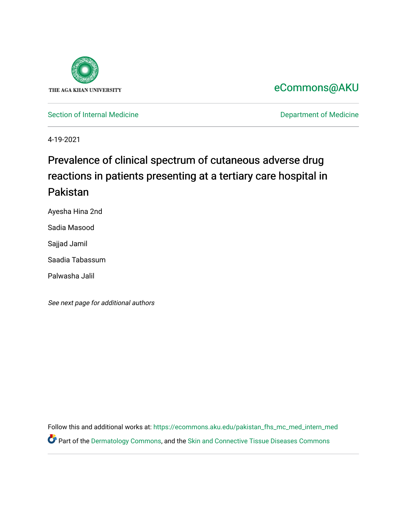

# [eCommons@AKU](https://ecommons.aku.edu/)

[Section of Internal Medicine](https://ecommons.aku.edu/pakistan_fhs_mc_med_intern_med) **Department of Medicine** Department of Medicine

4-19-2021

# Prevalence of clinical spectrum of cutaneous adverse drug reactions in patients presenting at a tertiary care hospital in Pakistan

Ayesha Hina 2nd

Sadia Masood

Sajjad Jamil

Saadia Tabassum

Palwasha Jalil

See next page for additional authors

Follow this and additional works at: [https://ecommons.aku.edu/pakistan\\_fhs\\_mc\\_med\\_intern\\_med](https://ecommons.aku.edu/pakistan_fhs_mc_med_intern_med?utm_source=ecommons.aku.edu%2Fpakistan_fhs_mc_med_intern_med%2F188&utm_medium=PDF&utm_campaign=PDFCoverPages)  Part of the [Dermatology Commons,](http://network.bepress.com/hgg/discipline/684?utm_source=ecommons.aku.edu%2Fpakistan_fhs_mc_med_intern_med%2F188&utm_medium=PDF&utm_campaign=PDFCoverPages) and the [Skin and Connective Tissue Diseases Commons](http://network.bepress.com/hgg/discipline/942?utm_source=ecommons.aku.edu%2Fpakistan_fhs_mc_med_intern_med%2F188&utm_medium=PDF&utm_campaign=PDFCoverPages)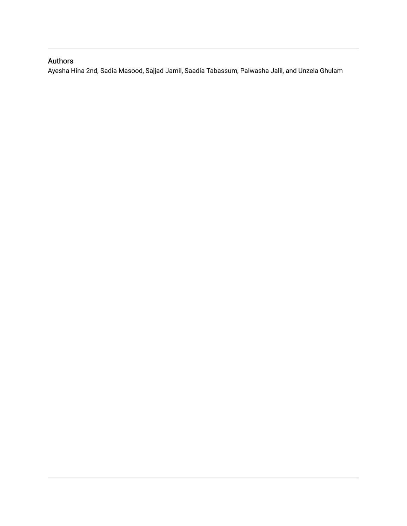### Authors

<span id="page-1-0"></span>Ayesha Hina 2nd, Sadia Masood, Sajjad Jamil, Saadia Tabassum, Palwasha Jalil, and Unzela Ghulam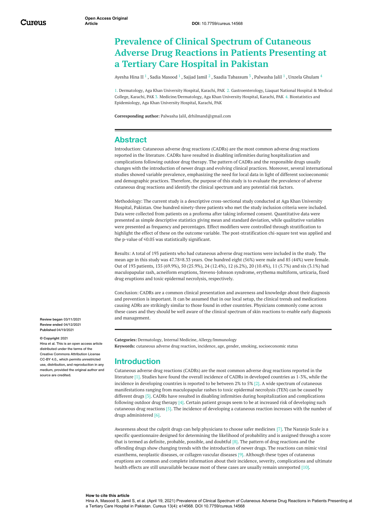## **Prevalence of Clinical Spectrum of Cutaneous Adverse Drug Reactions in Patients Presenting at a Tertiary Care Hospital in Pakistan**

<span id="page-2-0"></span>[Ayesha](https://www.cureus.com/users/184878-ayesha-hina-ii) Hina II  $^1$  , Sadia [Masood](https://www.cureus.com/users/184499-sadia-masood)  $^1$  , [Sajjad](https://www.cureus.com/users/151290-sajjad-jamil) Jamil  $^2$  , Saadia [Tabassum](https://www.cureus.com/users/132455-saadia-tabassum)  $^3$  , [Palwasha](https://www.cureus.com/users/183660-palwasha-jalil) Jalil  $^1$  , Unzela [Ghulam](https://www.cureus.com/users/210082-unzela-ghulam)  $^4$ 

1. Dermatology, Aga Khan University Hospital, Karachi, PAK 2. Gastroenterology, Liaquat National Hospital & Medical College, Karachi, PAK 3. Medicine/Dermatology, Aga Khan University Hospital, Karachi, PAK 4. Biostatistics and Epidemiology, Aga Khan University Hospital, Karachi, PAK

**Corresponding author:** Palwasha Jalil, drhilmand@gmail.com

#### **Abstract**

Introduction: Cutaneous adverse drug reactions (CADRs) are the most common adverse drug reactions reported in the literature. CADRs have resulted in disabling infirmities during hospitalization and complications following outdoor drug therapy. The pattern of CADRs and the responsible drugs usually changes with the introduction of newer drugs and evolving clinical practices. Moreover, several international studies showed variable prevalence, emphasizing the need for local data in light of different socioeconomic and demographic practices. Therefore, the purpose of this study is to evaluate the prevalence of adverse cutaneous drug reactions and identify the clinical spectrum and any potential risk factors.

Methodology: The current study is a descriptive cross-sectional study conducted at Aga Khan University Hospital, Pakistan. One hundred ninety-three patients who met the study inclusion criteria were included. Data were collected from patients on a proforma after taking informed consent. Quantitative data were presented as simple descriptive statistics giving mean and standard deviation, while qualitative variables were presented as frequency and percentages. Effect modifiers were controlled through stratification to highlight the effect of these on the outcome variable. The post-stratification chi-square test was applied and the p-value of ≤0.05 was statistically significant.

<span id="page-2-1"></span>Results: A total of 193 patients who had cutaneous adverse drug reactions were included in the study. The mean age in this study was 47.78±8.33 years. One hundred eight (56%) were male and 85 (44%) were female. Out of 193 patients, 135 (69.9%), 50 (25.9%), 24 (12.4%), 12 (6.2%), 20 (10.4%), 11 (5.7%) and six (3.1%) had maculopapular rash, acneiform eruptions, Stevens-Johnson syndrome, erythema multiform, urticaria, fixed drug eruptions and toxic epidermal necrolysis, respectively.

Conclusion: CADRs are a common clinical presentation and awareness and knowledge about their diagnosis and prevention is important. It can be assumed that in our local setup, the clinical trends and medications causing ADRs are strikingly similar to those found in other countries. Physicians commonly come across these cases and they should be well aware of the clinical spectrum of skin reactions to enable early diagnosis and management.

**Review began** 03/11/2021 **Review ended** 04/12/2021 **Published** 04/19/2021

#### **© Copyright** 2021

Hina et al. This is an open access article distributed under the terms of the Creative Commons Attribution Licens CC-BY 4.0., which permits unrestricted use, distribution, and reproduction in any medium, provided the original author and source are credited

**Categories:** Dermatology, Internal Medicine, Allergy/Immunology **Keywords:** cutaneous adverse drug reaction, incidence, age, gender, smoking, socioeconomic status

#### **Introduction**

Cutaneous adverse drug reactions (CADRs) are the most common adverse drug reactions reported in the literature [1]. Studies have found the overall incidence of CADRs in developed countries as 1-3%, while the incidence in developing countries is reported to be between 2% to 5% [2]. A wide spectrum of cutaneous manifestations ranging from maculopapular rashes to toxic epidermal necrolysis (TEN) can be caused by different drugs [3]. CADRs have resulted in disabling infirmities during hospitalization and complications following outdoor drug therapy [4]. Certain patient groups seem to be at increased risk of developing such cutaneous drug reactions [5]. The incidence of developing a cutaneous reaction increases with the number of drugs administered [6].

Awareness about the culprit drugs can help physicians to choose safer medicines [7]. The Naranjo Scale is a specific questionnaire designed for determining the likelihood of probability and is assigned through a score that is termed as definite, probable, possible, and doubtful [8]. The pattern of drug reactions and the offending drugs show changing trends with the introduction of newer drugs. The reactions can mimic viral exanthems, neoplastic diseases, or collagen vascular diseases [9]. Although these types of cutaneous eruptions are common and complete information about their incidence, severity, complications and ultimate health effects are still unavailable because most of these cases are usually remain unreported [10].

#### **How to cite this article**

Hina A, Masood S, Jamil S, et al. (April 19, 2021) Prevalence of Clinical Spectrum of Cutaneous Adverse Drug Reactions in Patients Presenting at a Tertiary Care Hospital in Pakistan. Cureus 13(4): e14568. DOI 10.7759/cureus.14568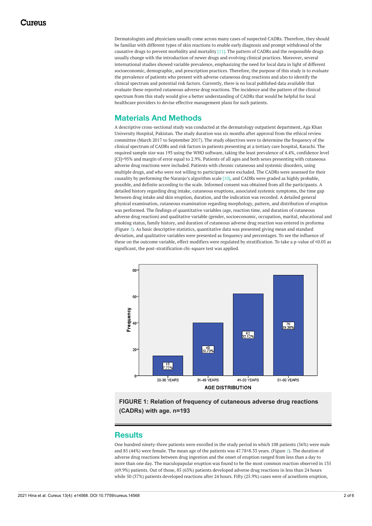<span id="page-3-0"></span>Dermatologists and physicians usually come across many cases of suspected CADRs. Therefore, they should be familiar with different types of skin reactions to enable early diagnosis and prompt withdrawal of the causative drugs to prevent morbidity and mortality [11]. The pattern of CADRs and the responsible drugs usually change with the introduction of newer drugs and evolving clinical practices. Moreover, several international studies showed variable prevalence, emphasizing the need for local data in light of different socioeconomic, demographic, and prescription practices. Therefore, the purpose of this study is to evaluate the prevalence of patients who present with adverse cutaneous drug reactions and also to identify the clinical spectrum and potential risk factors. Currently, there is no local published data available that evaluate these reported cutaneous adverse drug reactions. The incidence and the pattern of the clinical spectrum from this study would give a better understanding of CADRs that would be helpful for local healthcare providers to devise effective management plans for such patients.

### **Materials And Methods**

A descriptive cross-sectional study was conducted at the dermatology outpatient department, Aga Khan University Hospital, Pakistan. The study duration was six months after approval from the ethical review committee (March 2017 to September 2017). The study objectives were to determine the frequency of the clinical spectrum of CADRs and risk factors in patients presenting at a tertiary care hospital, Karachi. The required sample size was 193 using the WHO software, taking the least prevalence of 4.4%, confidence level [CI]=95% and margin of error equal to 2.9%. Patients of all ages and both sexes presenting with cutaneous adverse drug reactions were included. Patients with chronic cutaneous and systemic disorders, using multiple drugs, and who were not willing to participate were excluded. The CADRs were assessed for their causality by performing the Naranjo's algorithm scale [10], and CADRs were graded as highly probable, possible, and definite according to the scale. Informed consent was obtained from all the participants. A detailed history regarding drug intake, cutaneous eruptions, associated systemic symptoms, the time gap between drug intake and skin eruption, duration, and the indication was recorded. A detailed general physical examination, cutaneous examination regarding morphology, pattern, and distribution of eruption was performed. The findings of quantitative variables (age, reaction time, and duration of cutaneous adverse drug reaction) and qualitative variable (gender, socioeconomic, occupation, marital, educational and smoking status, family history, and duration of cutaneous adverse drug reaction was entered in proforma (Figure *[1](#page-1-0)*). As basic descriptive statistics, quantitative data was presented giving mean and standard deviation, and qualitative variables were presented as frequency and percentages. To see the influence of these on the outcome variable, effect modifiers were regulated by stratification. To take a p-value of ≤0.05 as significant, the post-stratification chi-square test was applied.



**FIGURE 1: Relation of frequency of cutaneous adverse drug reactions (CADRs) with age. n=193**

#### **Results**

One hundred ninety-three patients were enrolled in the study period in which 108 patients (56%) were male and 85 (44%) were female. The mean age of the patients was 47.78±8.33 years. (Figure *[1](#page-1-0)*). The duration of adverse drug reactions between drug ingestion and the onset of eruption ranged from less than a day to more than one day. The maculopapular eruption was found to be the most common reaction observed in 135 (69.9%) patients. Out of those, 85 (63%) patients developed adverse drug reactions in less than 24 hours while 50 (37%) patients developed reactions after 24 hours. Fifty (25.9%) cases were of acneiform eruption,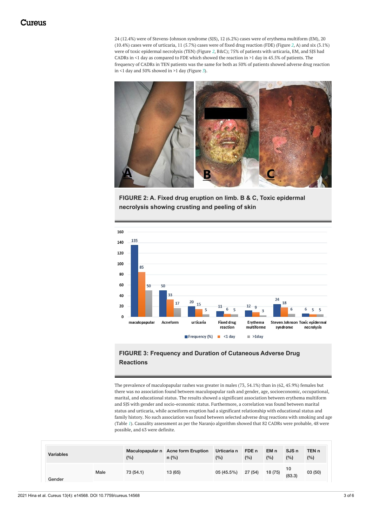24 (12.4%) were of Stevens-Johnson syndrome (SJS), 12 (6.2%) cases were of erythema multiform (EM), 20 (10.4%) cases were of urticaria, 11 (5.7%) cases were of fixed drug reaction (FDE) (Figure *[2](#page-2-0)*, A) and six (3.1%) were of toxic epidermal necrolysis (TEN) (Figure *[2](#page-2-0)*, B&C); 75% of patients with urticaria, EM, and SJS had CADRs in <1 day as compared to FDE which showed the reaction in >1 day in 45.5% of patients. The frequency of CADRs in TEN patients was the same for both as 50% of patients showed adverse drug reaction in <1 day and 50% showed in >1 day (Figure *[3](#page-2-1)*).



**FIGURE 2: A. Fixed drug eruption on limb. B & C, Toxic epidermal necrolysis showing crusting and peeling of skin**



#### **FIGURE 3: Frequency and Duration of Cutaneous Adverse Drug Reactions**

The prevalence of maculopapular rashes was greater in males (73, 54.1%) than in (62, 45.9%) females but there was no association found between maculopapular rash and gender, age, socioeconomic, occupational, marital, and educational status. The results showed a significant association between erythema multiform and SJS with gender and socio-economic status. Furthermore, a correlation was found between marital status and urticaria, while acneiform eruption had a significant relationship with educational status and family history. No such association was found between selected adverse drug reactions with smoking and age (Table *[1](#page-3-0)*). Causality assessment as per the Naranjo algorithm showed that 82 CADRs were probable, 48 were possible, and 63 were definite.

| <b>Variables</b> |      | (%)       | Maculopapular n Acne form Eruption<br>$n$ (%) | Urticaria n<br>(%) | FDE n<br>(%) | EM n<br>(%) | SJS <sub>n</sub><br>(%) | TEN <sub>n</sub><br>(%) |
|------------------|------|-----------|-----------------------------------------------|--------------------|--------------|-------------|-------------------------|-------------------------|
| Gender           | Male | 73 (54.1) | 13 (65)                                       | 05 (45.5%)         | 27 (54)      | 18 (75)     | 10<br>(83.3)            | 03(50)                  |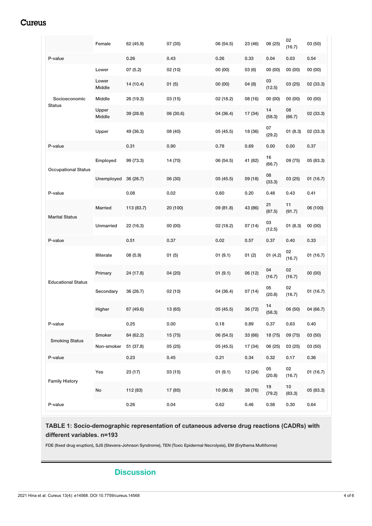### Cureus

|                            | Female          | 62 (45.9)  | 07 (35)   | 06 (54.5) | 23 (46) | 06 (25)      | 02<br>(16.7) | 03 (50)   |
|----------------------------|-----------------|------------|-----------|-----------|---------|--------------|--------------|-----------|
| P-value                    |                 | 0.26       | 0.43      | 0.26      | 0.33    | 0.04         | 0.03         | 0.54      |
|                            | Lower           | 07(5.2)    | 02(10)    | 00(00)    | 03(6)   | 00 (00)      | 00 (00)      | 00(00)    |
| Socioeconomic<br>Status    | Lower<br>Middle | 14 (10.4)  | 01(5)     | 00(00)    | 04(8)   | 03<br>(12.5) | 03 (25)      | 02 (33.3) |
|                            | <b>Middle</b>   | 26 (19.3)  | 03 (15)   | 02 (18.2) | 08 (16) | 00 (00)      | 00 (00)      | 00(00)    |
|                            | Upper<br>Middle | 39 (28.9)  | 06 (30.6) | 04 (36.4) | 17 (34) | 14<br>(58.3) | 08<br>(66.7) | 02 (33.3) |
|                            | Upper           | 49 (36.3)  | 08 (40)   | 05 (45.5) | 18 (36) | 07<br>(29.2) | 01(8.3)      | 02 (33.3) |
| P-value                    |                 | 0.31       | 0.90      | 0.78      | 0.69    | 0.00         | 0.00         | 0.37      |
| <b>Occupational Status</b> | Employed        | 99 (73.3)  | 14 (70)   | 06 (54.5) | 41 (82) | 16<br>(66.7) | 09 (75)      | 05 (83.3) |
|                            | Unemployed      | 36 (26.7)  | 06 (30)   | 05 (45.5) | 09 (18) | 08<br>(33.3) | 03(25)       | 01(16.7)  |
| P-value                    |                 | 0.08       | 0.02      | 0.60      | 0.20    | 0.48         | 0.43         | 0.41      |
| <b>Marital Status</b>      | <b>Married</b>  | 113 (83.7) | 20 (100)  | 09 (81.8) | 43 (86) | 21<br>(87.5) | 11<br>(91.7) | 06 (100)  |
|                            | Unmarried       | 22 (16.3)  | 00 (00)   | 02 (18.2) | 07 (14) | 03<br>(12.5) | 01(8.3)      | 00(00)    |
| P-value                    |                 | 0.51       | 0.37      | 0.02      | 0.57    | 0.37         | 0.40         | 0.33      |
| <b>Educational Status</b>  | Illiterate      | 08 (5.9)   | 01(5)     | 01(9.1)   | 01(2)   | 01(4.2)      | 02<br>(16.7) | 01 (16.7) |
|                            | Primary         | 24 (17.8)  | 04 (20)   | 01(9.1)   | 06 (12) | 04<br>(16.7) | 02<br>(16.7) | 00 (00)   |
|                            | Secondary       | 36 (26.7)  | 02(10)    | 04 (36.4) | 07 (14) | 05<br>(20.8) | 02<br>(16.7) | 01 (16.7) |
|                            | Higher          | 67 (49.6)  | 13 (65)   | 05 (45.5) | 36 (72) | 14<br>(58.3) | 06 (50)      | 04 (66.7) |
| P-value                    |                 | 0.25       | 0.00      | 0.18      | 0.89    | 0.37         | 0.63         | 0.40      |
| <b>Smoking Status</b>      | Smoker          | 84 (62.2)  | 15 (75)   | 06 (54.5) | 33 (66) | 18 (75)      | 09 (75)      | 03 (50)   |
|                            | Non-smoker      | 51 (37.8)  | 05 (25)   | 05(45.5)  | 17 (34) | 06 (25)      | 03(25)       | 03 (50)   |
| P-value                    |                 | 0.23       | 0.45      | 0.21      | 0.34    | 0.32         | 0.17         | 0.36      |
| <b>Family History</b>      | Yes             | 23 (17)    | 03(15)    | 01(9.1)   | 12 (24) | 05<br>(20.8) | 02<br>(16.7) | 01(16.7)  |
|                            | No              | 112 (83)   | 17 (85)   | 10 (90.9) | 38 (76) | 19<br>(79.2) | 10<br>(83.3) | 05 (83.3) |
| P-value                    |                 | 0.26       | 0.04      | 0.62      | 0.46    | 0.58         | 0.30         | 0.64      |

#### **TABLE 1: Socio-demographic representation of cutaneous adverse drug reactions (CADRs) with different variables. n=193**

FDE (fixed drug eruption), SJS (Stevens-Johnson Syndrome), TEN (Toxic Epidermal Necrolysis), EM (Erythema Multiforme)

### **Discussion**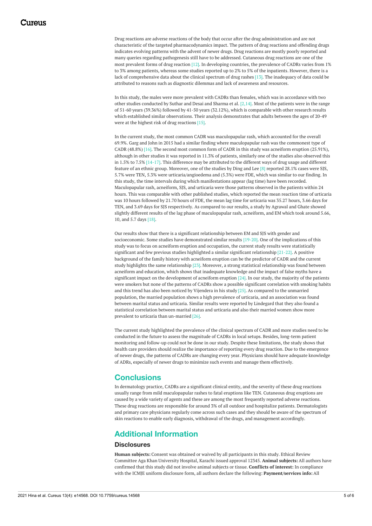Drug reactions are adverse reactions of the body that occur after the drug administration and are not characteristic of the targeted pharmacodynamics impact. The pattern of drug reactions and offending drugs indicates evolving patterns with the advent of newer drugs. Drug reactions are mostly poorly reported and many queries regarding pathogenesis still have to be addressed. Cutaneous drug reactions are one of the most prevalent forms of drug reaction [12]. In developing countries, the prevalence of CADRs varies from 1% to 3% among patients, whereas some studies reported up to 2% to 5% of the inpatients. However, there is a lack of comprehensive data about the clinical spectrum of drug rashes [13]. The inadequacy of data could be attributed to reasons such as diagnostic dilemmas and lack of awareness and resources.

In this study, the males were more prevalent with CADRs than females, which was in accordance with two other studies conducted by Suthar and Desai and Sharma et al.  $[2,14]$ . Most of the patients were in the range of 51-60 years (39.36%) followed by 41-50 years (32.12%), which is comparable with other research results which established similar observations. Their analysis demonstrates that adults between the ages of 20-49 were at the highest risk of drug reactions [15].

In the current study, the most common CADR was maculopapular rash, which accounted for the overall 69.9%. Garg and John in 2015 had a similar finding where maculopapular rash was the commonest type of CADR (48.8%) [16]. The second most common form of CADR in this study was acneiform eruption (25.91%), although in other studies it was reported in 11.3% of patients, similarly one of the studies also observed this in 1.5% to 7.5% [14-17]. This difference may be attributed to the different ways of drug usage and different feature of an ethnic group. Moreover, one of the studies by Ding and Lee [8] reported 28.1% cases were SJS, 5.7% were TEN, 5.3% were urticaria/angioedema and (5.3%) were FDE, which was similar to our finding. In this study, the time intervals during which manifestations appear (lag time) have been recorded. Maculopapular rash, acneiform, SJS, and urticaria were those patterns observed in the patients within 24 hours. This was comparable with other published studies, which reported the mean reaction time of urticaria was 10 hours followed by 21.70 hours of FDE, the mean lag time for urticaria was 35.27 hours, 3.66 days for TEN, and 3.69 days for SJS respectively. As compared to our results, a study by Agrawal and Ghate showed slightly different results of the lag phase of maculopapular rash, acneiform, and EM which took around 5.66, 10, and 5.7 days [18].

Our results show that there is a significant relationship between EM and SJS with gender and socioeconomic. Some studies have demonstrated similar results [19-20]. One of the implications of this study was to focus on acneiform eruption and occupation, the current study results were statistically significant and few previous studies highlighted a similar significant relationship [21-22]. A positive background of the family history with acneiform eruption can be the predictor of CADR and the current study highlights the same relationship [23]. Moreover, a strong statistical relationship was found between acneiform and education, which shows that inadequate knowledge and the impact of false myths have a significant impact on the development of acneiform eruption [24]. In our study, the majority of the patients were smokers but none of the patterns of CADRs show a possible significant correlation with smoking habits and this trend has also been noticed by Vijendera in his study [25]. As compared to the unmarried population, the married population shows a high prevalence of urticaria, and an association was found between marital status and urticaria. Similar results were reported by Lindegard that they also found a statistical correlation between marital status and urticaria and also their married women show more prevalent to urticaria than un-married [26].

The current study highlighted the prevalence of the clinical spectrum of CADR and more studies need to be conducted in the future to assess the magnitude of CADRs in local setups. Besides, long-term patient monitoring and follow-up could not be done in our study. Despite these limitations, the study shows that health care providers should realize the importance of reporting every drug reaction. Due to the emergence of newer drugs, the patterns of CADRs are changing every year. Physicians should have adequate knowledge of ADRs, especially of newer drugs to minimize such events and manage them effectively.

#### **Conclusions**

In dermatology practice, CADRs are a significant clinical entity, and the severity of these drug reactions usually range from mild maculopapular rashes to fatal eruptions like TEN. Cutaneous drug eruptions are caused by a wide variety of agents and these are among the most frequently reported adverse reactions. These drug reactions are responsible for around 3% of all outdoor and hospitalize patients. Dermatologists and primary care physicians regularly come across such cases and they should be aware of the spectrum of skin reactions to enable early diagnosis, withdrawal of the drugs, and management accordingly.

### **Additional Information**

#### **Disclosures**

**Human subjects:** Consent was obtained or waived by all participants in this study. Ethical Review Committee Aga Khan University Hospital, Karachi issued approval 12345. **Animal subjects:** All authors have confirmed that this study did not involve animal subjects or tissue. **Conflicts of interest:** In compliance with the ICMJE uniform disclosure form, all authors declare the following: **Payment/services info:** All